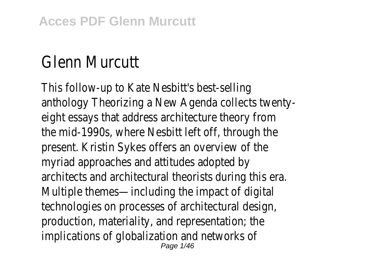## Glenn Murcut

This follow-up to Kate Nesbitt's best-se anthology Theorizing a New Agenda collects tw eight essays that address architecture theory the mid-1990s, where Nesbitt left off, through present. Kristin Sykes offers an overview o myriad approaches and attitudes adopted architects and architectural theorists during this Multiple themes—including the impact of di technologies on processes of architectural de production, materiality, and representation; implications of globalization and network Page 1/46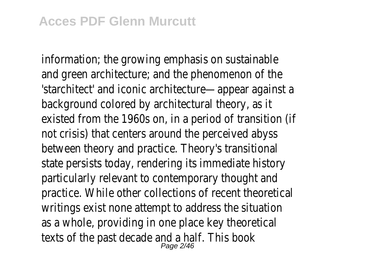$information$ ; the growing emphasis on sustain and green architecture; and the phenomenon of 'starchitect' and iconic architecture—appear again background colored by architectural theory, existed from the 1960s on, in a period of transition not crisis) that centers around the perceived a between theory and practice. Theory's transit state persists today, rendering its immediate his particularly relevant to contemporary thought practice. While other collections of recent theore writings exist none attempt to address the situation as a whole, providing in one place key theore texts of the past decade and a half. This  $P_{\text{age 2/46}}$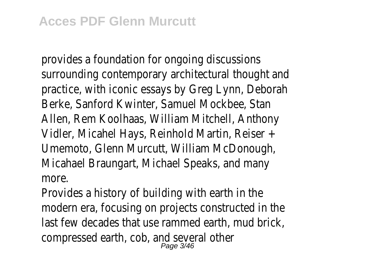provides a foundation for ongoing discuss surrounding contemporary architectural thought practice, with iconic essays by Greg Lynn, Deborald Berke, Sanford Kwinter, Samuel Mockbee, S Allen, Rem Koolhaas, William Mitchell, Antho Vidler, Micahel Hays, Reinhold Martin, Reise Umemoto, Glenn Murcutt, William McDonough, Micahael Braungart, Michael Speaks, and m more.

Provides a history of building with earth in modern era, focusing on projects constructed in last few decades that use rammed earth, mud b compressed earth, cob, and several of<br>Page 3/46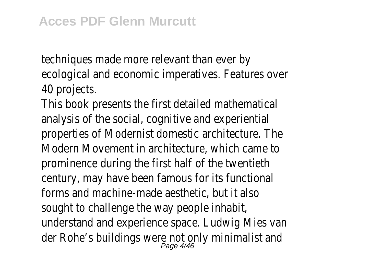techniques made more relevant than eve ecological and economic imperatives. Features over 40 projects.

This book presents the first detailed mathematical analysis of the social, cognitive and experiential properties of Modernist domestic architecture. Modern Movement in architecture, which can prominence during the first half of the twer century, may have been famous for its funct forms and machine-made aesthetic, but it sought to challenge the way people inhabit understand and experience space. Ludwig Mies der Rohe's buildings were not only minimalist<br>Page 4/46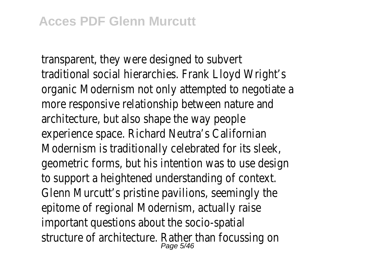transparent, they were designed to sub traditional social hierarchies. Frank Lloyd Wright organic Modernism not only attempted to negotiation more responsive relationship between nature architecture, but also shape the way pe experience space. Richard Neutra's Californian Modernism is traditionally celebrated for its s geometric forms, but his intention was to use designed to support a heightened understanding of context. Glenn Murcutt's pristine pavilions, seemingly epitome of regional Modernism, actually raised important questions about the socio-spatial structure of architecture. Rather than focussing the structure of architecture.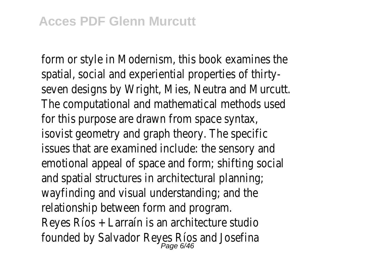form or style in Modernism, this book examines spatial, social and experiential properties of the seven designs by Wright, Mies, Neutra and Mur The computational and mathematical methods  $\overline{u}$ for this purpose are drawn from space syntax, isovist geometry and graph theory. The spe issues that are examined include: the sensory emotional appeal of space and form; shifting social and spatial structures in architectural planning wayfinding and visual understanding; and relationship between form and progr Reyes Ríos + Larraín is an architecture studio founded by Salvador Reyes Ríos and Jose<br>Fage 6/46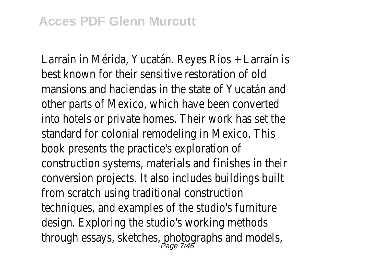Larraín in Mérida, Yucatán. Reyes Ríos + Larraí hest known for their sensitive restoration of mansions and haciendas in the state of Yucatár other parts of Mexico, which have been convert into hotels or private homes. Their work has set standard for colonial remodeling in Mexico. book presents the practice's exploration construction systems, materials and finishes in conversion projects. It also includes buildings from scratch using traditional construction techniques, and examples of the studio's furni design. Exploring the studio's working methods. through essays, sketches, photographs and mo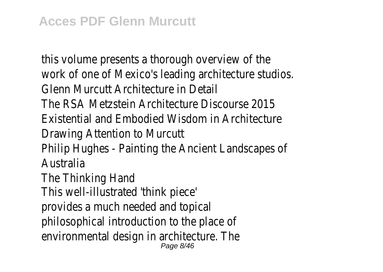this volume presents a thorough overview of work of one of Mexico's leading architecture studios. Glenn Murcutt Architecture in De The RSA Metzstein Architecture Discourse 2 Existential and Embodied Wisdom in Architect Drawing Attention to Murc Philip Hughes - Painting the Ancient Landscape **Australia** The Thinking Han This well-illustrated 'think piece' provides a much needed and topical philosophical introduction to the place of environmental design in architecture. The Page 8/46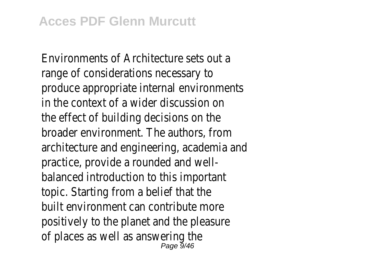Environments of Architecture sets out a range of considerations necessary to produce appropriate internal environments in the context of a wider discussion on the effect of building decisions on the broader environment. The authors, from architecture and engineering, academia and practice, provide a rounded and wellbalanced introduction to this important topic. Starting from a belief that the built environment can contribute more positively to the planet and the pleasure of places as well as answering the Page 9/46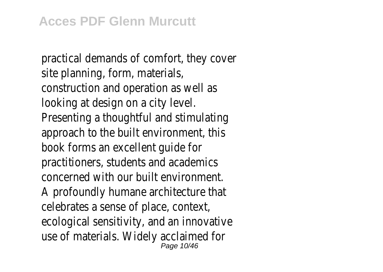practical demands of comfort, they cover site planning, form, materials, construction and operation as well as looking at design on a city level. Presenting a thoughtful and stimulating approach to the built environment, this book forms an excellent guide for practitioners, students and academics concerned with our built environment. A profoundly humane architecture that celebrates a sense of place, context, ecological sensitivity, and an innovative use of materials. Widely acclaimed for Page 10/46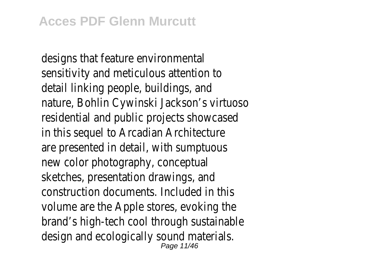designs that feature environmental sensitivity and meticulous attention to detail linking people, buildings, and nature, Bohlin Cywinski Jackson's virtuoso residential and public projects showcased in this sequel to Arcadian Architecture are presented in detail, with sumptuous new color photography, conceptual sketches, presentation drawings, and construction documents. Included in this volume are the Apple stores, evoking the brand's high-tech cool through sustainable design and ecologically sound materials. Page 11/46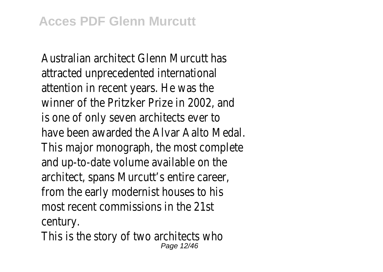Australian architect Glenn Murcutt has attracted unprecedented international attention in recent years. He was the winner of the Pritzker Prize in 2002, and is one of only seven architects ever to have been awarded the Alvar Aalto Medal. This major monograph, the most complete and up-to-date volume available on the architect, spans Murcutt's entire career, from the early modernist houses to his most recent commissions in the 21st century.

This is the story of two architects who Page 12/46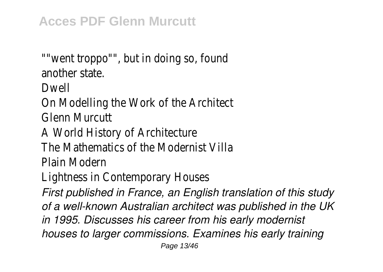""went troppo"", but in doing so, found another state.

Dwell

On Modelling the Work of the Architect Glenn Murcutt

A World History of Architecture

The Mathematics of the Modernist Villa

Plain Modern

Lightness in Contemporary Houses

*First published in France, an English translation of this study of a well-known Australian architect was published in the UK in 1995. Discusses his career from his early modernist houses to larger commissions. Examines his early training*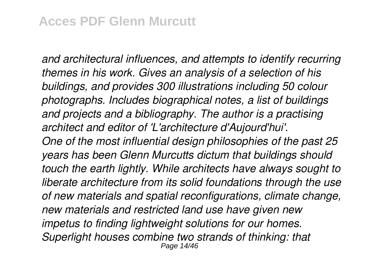*and architectural influences, and attempts to identify recurring themes in his work. Gives an analysis of a selection of his buildings, and provides 300 illustrations including 50 colour photographs. Includes biographical notes, a list of buildings and projects and a bibliography. The author is a practising architect and editor of 'L'architecture d'Aujourd'hui'. One of the most influential design philosophies of the past 25 years has been Glenn Murcutts dictum that buildings should touch the earth lightly. While architects have always sought to liberate architecture from its solid foundations through the use of new materials and spatial reconfigurations, climate change, new materials and restricted land use have given new impetus to finding lightweight solutions for our homes. Superlight houses combine two strands of thinking: that* Page 14/46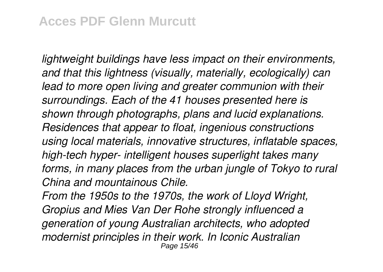*lightweight buildings have less impact on their environments, and that this lightness (visually, materially, ecologically) can lead to more open living and greater communion with their surroundings. Each of the 41 houses presented here is shown through photographs, plans and lucid explanations. Residences that appear to float, ingenious constructions using local materials, innovative structures, inflatable spaces, high-tech hyper- intelligent houses superlight takes many forms, in many places from the urban jungle of Tokyo to rural China and mountainous Chile.*

*From the 1950s to the 1970s, the work of Lloyd Wright, Gropius and Mies Van Der Rohe strongly influenced a generation of young Australian architects, who adopted modernist principles in their work. In Iconic Australian* Page 15/46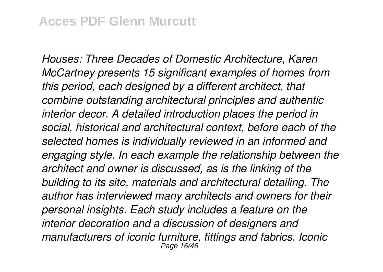*Houses: Three Decades of Domestic Architecture, Karen McCartney presents 15 significant examples of homes from this period, each designed by a different architect, that combine outstanding architectural principles and authentic interior decor. A detailed introduction places the period in social, historical and architectural context, before each of the selected homes is individually reviewed in an informed and engaging style. In each example the relationship between the architect and owner is discussed, as is the linking of the building to its site, materials and architectural detailing. The author has interviewed many architects and owners for their personal insights. Each study includes a feature on the interior decoration and a discussion of designers and manufacturers of iconic furniture, fittings and fabrics. Iconic* Page 16/46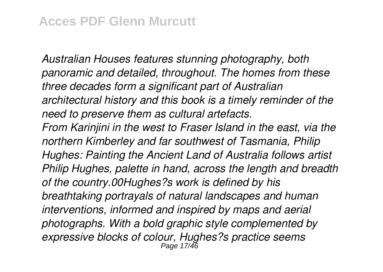*Australian Houses features stunning photography, both panoramic and detailed, throughout. The homes from these three decades form a significant part of Australian architectural history and this book is a timely reminder of the need to preserve them as cultural artefacts.*

*From Karinjini in the west to Fraser Island in the east, via the northern Kimberley and far southwest of Tasmania, Philip Hughes: Painting the Ancient Land of Australia follows artist Philip Hughes, palette in hand, across the length and breadth of the country.00Hughes?s work is defined by his breathtaking portrayals of natural landscapes and human interventions, informed and inspired by maps and aerial photographs. With a bold graphic style complemented by expressive blocks of colour, Hughes?s practice seems* Page 17/46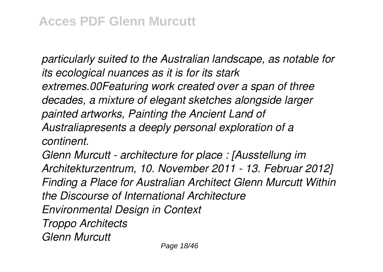*particularly suited to the Australian landscape, as notable for its ecological nuances as it is for its stark extremes.00Featuring work created over a span of three decades, a mixture of elegant sketches alongside larger painted artworks, Painting the Ancient Land of Australiapresents a deeply personal exploration of a continent.*

*Glenn Murcutt - architecture for place : [Ausstellung im Architekturzentrum, 10. November 2011 - 13. Februar 2012] Finding a Place for Australian Architect Glenn Murcutt Within the Discourse of International Architecture Environmental Design in Context Troppo Architects Glenn Murcutt*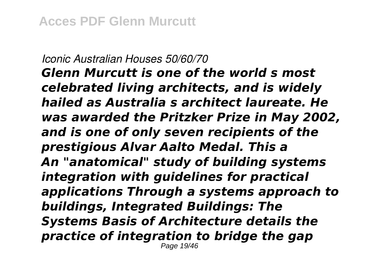*Iconic Australian Houses 50/60/70 Glenn Murcutt is one of the world s most celebrated living architects, and is widely hailed as Australia s architect laureate. He was awarded the Pritzker Prize in May 2002, and is one of only seven recipients of the prestigious Alvar Aalto Medal. This a An "anatomical" study of building systems integration with guidelines for practical applications Through a systems approach to buildings, Integrated Buildings: The Systems Basis of Architecture details the practice of integration to bridge the gap* Page 19/46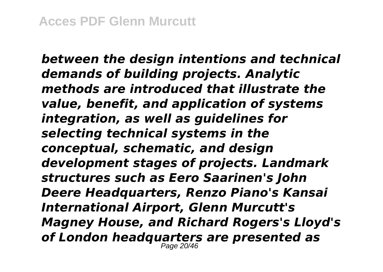*between the design intentions and technical demands of building projects. Analytic methods are introduced that illustrate the value, benefit, and application of systems integration, as well as guidelines for selecting technical systems in the conceptual, schematic, and design development stages of projects. Landmark structures such as Eero Saarinen's John Deere Headquarters, Renzo Piano's Kansai International Airport, Glenn Murcutt's Magney House, and Richard Rogers's Lloyd's of London headquarters are presented as* Page 20/46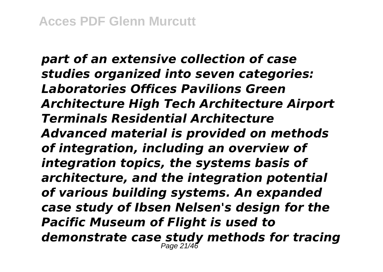*part of an extensive collection of case studies organized into seven categories: Laboratories Offices Pavilions Green Architecture High Tech Architecture Airport Terminals Residential Architecture Advanced material is provided on methods of integration, including an overview of integration topics, the systems basis of architecture, and the integration potential of various building systems. An expanded case study of Ibsen Nelsen's design for the Pacific Museum of Flight is used to demonstrate case study methods for tracing* Page 21/46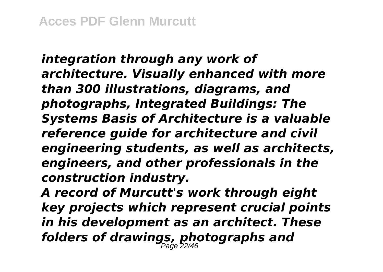*integration through any work of architecture. Visually enhanced with more than 300 illustrations, diagrams, and photographs, Integrated Buildings: The Systems Basis of Architecture is a valuable reference guide for architecture and civil engineering students, as well as architects, engineers, and other professionals in the construction industry.*

*A record of Murcutt's work through eight key projects which represent crucial points in his development as an architect. These folders of drawings, photographs and* Page 22/46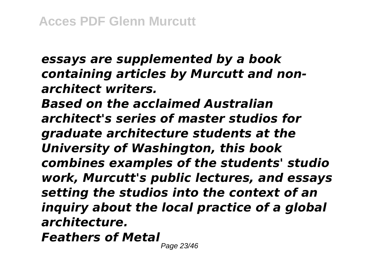*essays are supplemented by a book containing articles by Murcutt and nonarchitect writers. Based on the acclaimed Australian architect's series of master studios for graduate architecture students at the University of Washington, this book combines examples of the students' studio work, Murcutt's public lectures, and essays setting the studios into the context of an inquiry about the local practice of a global architecture.*

*Feathers of Metal*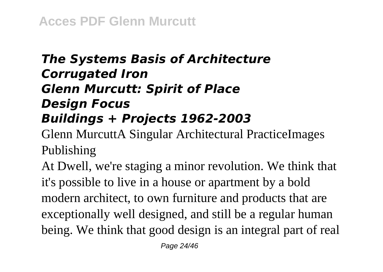## *The Systems Basis of Architecture Corrugated Iron Glenn Murcutt: Spirit of Place Design Focus Buildings + Projects 1962-2003*

Glenn MurcuttA Singular Architectural PracticeImages Publishing

At Dwell, we're staging a minor revolution. We think that it's possible to live in a house or apartment by a bold modern architect, to own furniture and products that are exceptionally well designed, and still be a regular human being. We think that good design is an integral part of real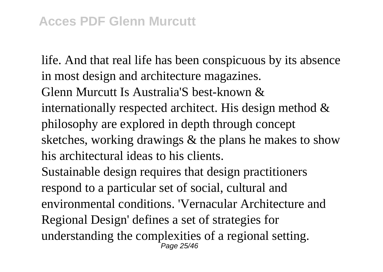life. And that real life has been conspicuous by its absence in most design and architecture magazines. Glenn Murcutt Is Australia'S best-known & internationally respected architect. His design method & philosophy are explored in depth through concept sketches, working drawings & the plans he makes to show his architectural ideas to his clients. Sustainable design requires that design practitioners respond to a particular set of social, cultural and environmental conditions. 'Vernacular Architecture and Regional Design' defines a set of strategies for understanding the complexities of a regional setting. Page 25/46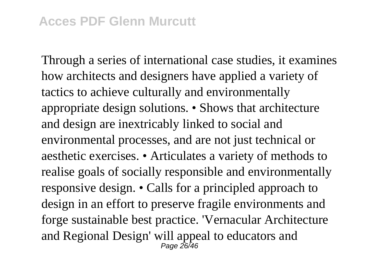Through a series of international case studies, it examines how architects and designers have applied a variety of tactics to achieve culturally and environmentally appropriate design solutions. • Shows that architecture and design are inextricably linked to social and environmental processes, and are not just technical or aesthetic exercises. • Articulates a variety of methods to realise goals of socially responsible and environmentally responsive design. • Calls for a principled approach to design in an effort to preserve fragile environments and forge sustainable best practice. 'Vernacular Architecture and Regional Design' will appeal to educators and Page 26/46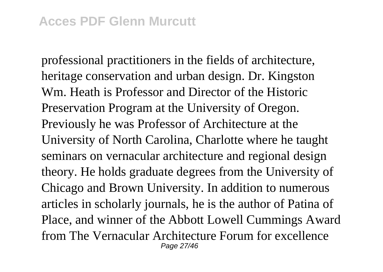professional practitioners in the fields of architecture, heritage conservation and urban design. Dr. Kingston Wm. Heath is Professor and Director of the Historic Preservation Program at the University of Oregon. Previously he was Professor of Architecture at the University of North Carolina, Charlotte where he taught seminars on vernacular architecture and regional design theory. He holds graduate degrees from the University of Chicago and Brown University. In addition to numerous articles in scholarly journals, he is the author of Patina of Place, and winner of the Abbott Lowell Cummings Award from The Vernacular Architecture Forum for excellence Page 27/46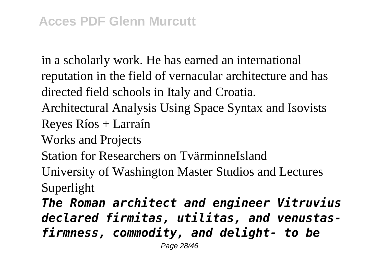in a scholarly work. He has earned an international reputation in the field of vernacular architecture and has directed field schools in Italy and Croatia.

Architectural Analysis Using Space Syntax and Isovists Reyes Ríos + Larraín

Works and Projects

Station for Researchers on TvärminneIsland

University of Washington Master Studios and Lectures Superlight

*The Roman architect and engineer Vitruvius declared firmitas, utilitas, and venustasfirmness, commodity, and delight- to be*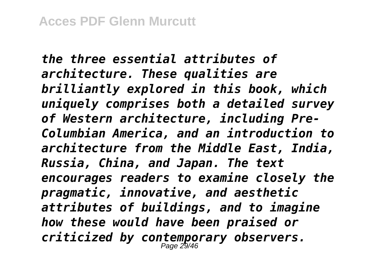*the three essential attributes of architecture. These qualities are brilliantly explored in this book, which uniquely comprises both a detailed survey of Western architecture, including Pre-Columbian America, and an introduction to architecture from the Middle East, India, Russia, China, and Japan. The text encourages readers to examine closely the pragmatic, innovative, and aesthetic attributes of buildings, and to imagine how these would have been praised or criticized by contemporary observers.* Page 29/46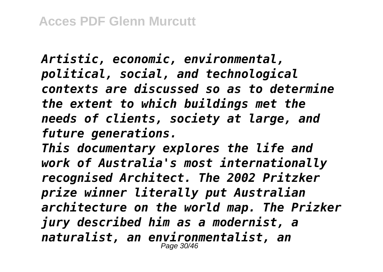*Artistic, economic, environmental, political, social, and technological contexts are discussed so as to determine the extent to which buildings met the needs of clients, society at large, and future generations.*

*This documentary explores the life and work of Australia's most internationally recognised Architect. The 2002 Pritzker prize winner literally put Australian architecture on the world map. The Prizker jury described him as a modernist, a naturalist, an environmentalist, an* Page 30/46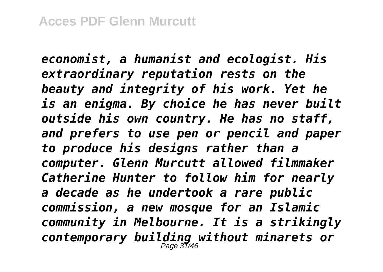*economist, a humanist and ecologist. His extraordinary reputation rests on the beauty and integrity of his work. Yet he is an enigma. By choice he has never built outside his own country. He has no staff, and prefers to use pen or pencil and paper to produce his designs rather than a computer. Glenn Murcutt allowed filmmaker Catherine Hunter to follow him for nearly a decade as he undertook a rare public commission, a new mosque for an Islamic community in Melbourne. It is a strikingly contemporary building without minarets or* Page 31/46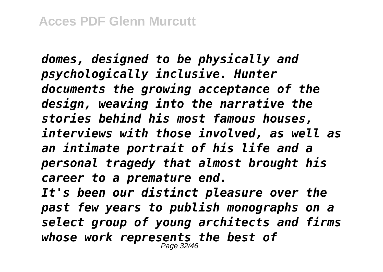*domes, designed to be physically and psychologically inclusive. Hunter documents the growing acceptance of the design, weaving into the narrative the stories behind his most famous houses, interviews with those involved, as well as an intimate portrait of his life and a personal tragedy that almost brought his career to a premature end. It's been our distinct pleasure over the past few years to publish monographs on a select group of young architects and firms whose work represents the best of* Page 32/46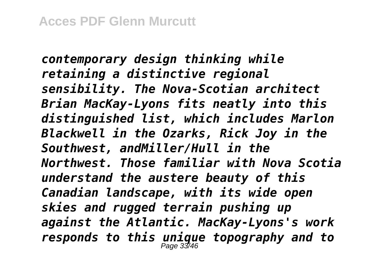*contemporary design thinking while retaining a distinctive regional sensibility. The Nova-Scotian architect Brian MacKay-Lyons fits neatly into this distinguished list, which includes Marlon Blackwell in the Ozarks, Rick Joy in the Southwest, andMiller/Hull in the Northwest. Those familiar with Nova Scotia understand the austere beauty of this Canadian landscape, with its wide open skies and rugged terrain pushing up against the Atlantic. MacKay-Lyons's work responds to this unique topography and to* Page 33/46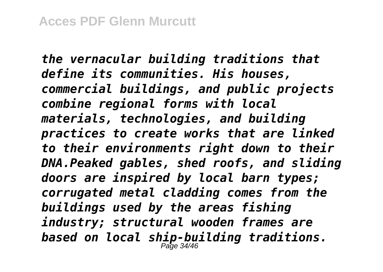*the vernacular building traditions that define its communities. His houses, commercial buildings, and public projects combine regional forms with local materials, technologies, and building practices to create works that are linked to their environments right down to their DNA.Peaked gables, shed roofs, and sliding doors are inspired by local barn types; corrugated metal cladding comes from the buildings used by the areas fishing industry; structural wooden frames are based on local ship-building traditions.* Page 34/46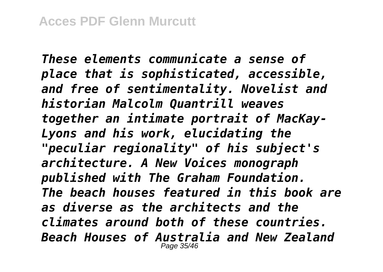*These elements communicate a sense of place that is sophisticated, accessible, and free of sentimentality. Novelist and historian Malcolm Quantrill weaves together an intimate portrait of MacKay-Lyons and his work, elucidating the "peculiar regionality" of his subject's architecture. A New Voices monograph published with The Graham Foundation. The beach houses featured in this book are as diverse as the architects and the climates around both of these countries. Beach Houses of Australia and New Zealand* Page 35/46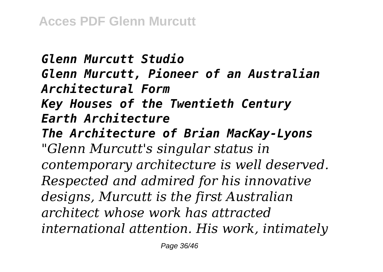*Glenn Murcutt Studio Glenn Murcutt, Pioneer of an Australian Architectural Form Key Houses of the Twentieth Century Earth Architecture The Architecture of Brian MacKay-Lyons "Glenn Murcutt's singular status in contemporary architecture is well deserved. Respected and admired for his innovative designs, Murcutt is the first Australian architect whose work has attracted international attention. His work, intimately*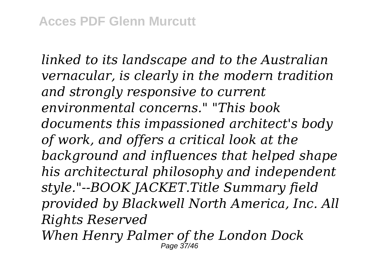*linked to its landscape and to the Australian vernacular, is clearly in the modern tradition and strongly responsive to current environmental concerns." "This book documents this impassioned architect's body of work, and offers a critical look at the background and influences that helped shape his architectural philosophy and independent style."--BOOK JACKET.Title Summary field provided by Blackwell North America, Inc. All Rights Reserved When Henry Palmer of the London Dock*

Page 37/46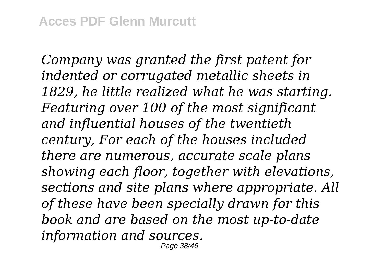*Company was granted the first patent for indented or corrugated metallic sheets in 1829, he little realized what he was starting. Featuring over 100 of the most significant and influential houses of the twentieth century, For each of the houses included there are numerous, accurate scale plans showing each floor, together with elevations, sections and site plans where appropriate. All of these have been specially drawn for this book and are based on the most up-to-date information and sources.* Page 38/46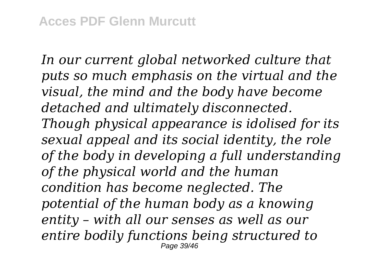*In our current global networked culture that puts so much emphasis on the virtual and the visual, the mind and the body have become detached and ultimately disconnected. Though physical appearance is idolised for its sexual appeal and its social identity, the role of the body in developing a full understanding of the physical world and the human condition has become neglected. The potential of the human body as a knowing entity – with all our senses as well as our entire bodily functions being structured to* Page 39/46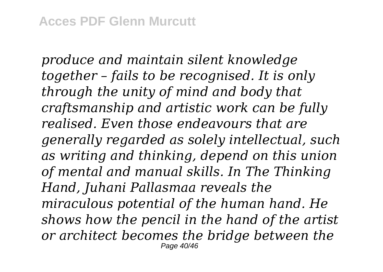*produce and maintain silent knowledge together – fails to be recognised. It is only through the unity of mind and body that craftsmanship and artistic work can be fully realised. Even those endeavours that are generally regarded as solely intellectual, such as writing and thinking, depend on this union of mental and manual skills. In The Thinking Hand, Juhani Pallasmaa reveals the miraculous potential of the human hand. He shows how the pencil in the hand of the artist or architect becomes the bridge between the* Page 40/46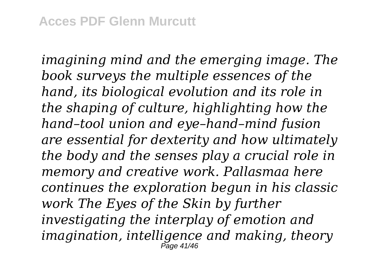*imagining mind and the emerging image. The book surveys the multiple essences of the hand, its biological evolution and its role in the shaping of culture, highlighting how the hand–tool union and eye–hand–mind fusion are essential for dexterity and how ultimately the body and the senses play a crucial role in memory and creative work. Pallasmaa here continues the exploration begun in his classic work The Eyes of the Skin by further investigating the interplay of emotion and imagination, intelligence and making, theory* Page 41/46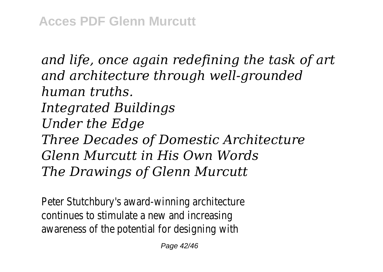*and life, once again redefining the task of art and architecture through well-grounded human truths. Integrated Buildings Under the Edge Three Decades of Domestic Architecture Glenn Murcutt in His Own Words The Drawings of Glenn Murcutt*

Peter Stutchbury's award-winning architecture continues to stimulate a new and increasing awareness of the potential for designing with

Page 42/46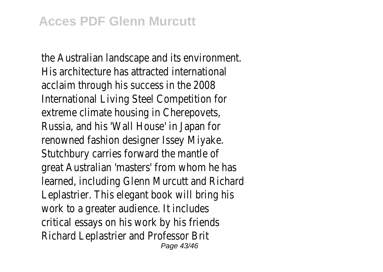the Australian landscape and its environment. His architecture has attracted international acclaim through his success in the 2008 International Living Steel Competition for extreme climate housing in Cherepovets, Russia, and his 'Wall House' in Japan for renowned fashion designer Issey Miyake. Stutchbury carries forward the mantle of great Australian 'masters' from whom he has learned, including Glenn Murcutt and Richard Leplastrier. This elegant book will bring his work to a greater audience. It includes critical essays on his work by his friends Richard Leplastrier and Professor Brit Page 43/46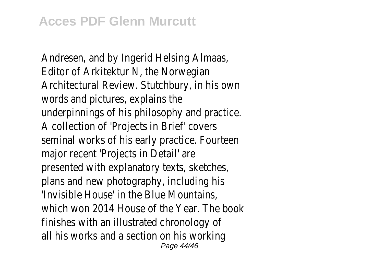Andresen, and by Ingerid Helsing Almaas, Editor of Arkitektur N, the Norwegian Architectural Review. Stutchbury, in his own words and pictures, explains the underpinnings of his philosophy and practice. A collection of 'Projects in Brief' covers seminal works of his early practice. Fourteen major recent 'Projects in Detail' are presented with explanatory texts, sketches, plans and new photography, including his 'Invisible House' in the Blue Mountains, which won 2014 House of the Year. The book finishes with an illustrated chronology of all his works and a section on his working Page 44/46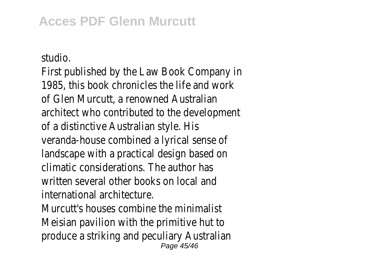studio.

First published by the Law Book Company in 1985, this book chronicles the life and work of Glen Murcutt, a renowned Australian architect who contributed to the development of a distinctive Australian style. His veranda-house combined a lyrical sense of landscape with a practical design based on climatic considerations. The author has written several other books on local and international architecture.

Murcutt's houses combine the minimalist Meisian pavilion with the primitive hut to produce a striking and peculiary Australian Page 45/46